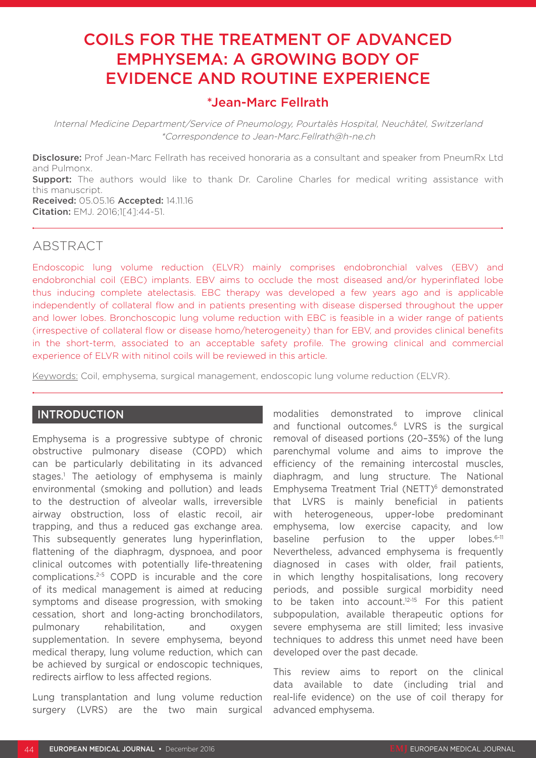# COILS FOR THE TREATMENT OF ADVANCED EMPHYSEMA: A GROWING BODY OF EVIDENCE AND ROUTINE EXPERIENCE

# \*Jean-Marc Fellrath

Internal Medicine Department/Service of Pneumology, Pourtalès Hospital, Neuchâtel, Switzerland \*Correspondence to Jean-Marc.Fellrath@h-ne.ch

Disclosure: Prof Jean-Marc Fellrath has received honoraria as a consultant and speaker from PneumRx Ltd and Pulmonx.

**Support:** The authors would like to thank Dr. Caroline Charles for medical writing assistance with this manuscript.

Received: 05.05.16 Accepted: 14.11.16 Citation: EMJ. 2016;1[4]:44-51.

# ABSTRACT

Endoscopic lung volume reduction (ELVR) mainly comprises endobronchial valves (EBV) and endobronchial coil (EBC) implants. EBV aims to occlude the most diseased and/or hyperinflated lobe thus inducing complete atelectasis. EBC therapy was developed a few years ago and is applicable independently of collateral flow and in patients presenting with disease dispersed throughout the upper and lower lobes. Bronchoscopic lung volume reduction with EBC is feasible in a wider range of patients (irrespective of collateral flow or disease homo/heterogeneity) than for EBV, and provides clinical benefits in the short-term, associated to an acceptable safety profile. The growing clinical and commercial experience of ELVR with nitinol coils will be reviewed in this article.

Keywords: Coil, emphysema, surgical management, endoscopic lung volume reduction (ELVR).

### **INTRODUCTION**

Emphysema is a progressive subtype of chronic obstructive pulmonary disease (COPD) which can be particularly debilitating in its advanced stages.1 The aetiology of emphysema is mainly environmental (smoking and pollution) and leads to the destruction of alveolar walls, irreversible airway obstruction, loss of elastic recoil, air trapping, and thus a reduced gas exchange area. This subsequently generates lung hyperinflation, flattening of the diaphragm, dyspnoea, and poor clinical outcomes with potentially life-threatening complications.2-5 COPD is incurable and the core of its medical management is aimed at reducing symptoms and disease progression, with smoking cessation, short and long-acting bronchodilators, pulmonary rehabilitation, and oxygen supplementation. In severe emphysema, beyond medical therapy, lung volume reduction, which can be achieved by surgical or endoscopic techniques, redirects airflow to less affected regions.

Lung transplantation and lung volume reduction surgery (LVRS) are the two main surgical modalities demonstrated to improve clinical and functional outcomes.6 LVRS is the surgical removal of diseased portions (20–35%) of the lung parenchymal volume and aims to improve the efficiency of the remaining intercostal muscles, diaphragm, and lung structure. The National Emphysema Treatment Trial (NETT)<sup>6</sup> demonstrated that LVRS is mainly beneficial in patients with heterogeneous, upper-lobe predominant emphysema, low exercise capacity, and low baseline perfusion to the upper lobes.<sup>6-11</sup> Nevertheless, advanced emphysema is frequently diagnosed in cases with older, frail patients, in which lengthy hospitalisations, long recovery periods, and possible surgical morbidity need to be taken into account.<sup>12-15</sup> For this patient subpopulation, available therapeutic options for severe emphysema are still limited; less invasive techniques to address this unmet need have been developed over the past decade.

This review aims to report on the clinical data available to date (including trial and real-life evidence) on the use of coil therapy for advanced emphysema.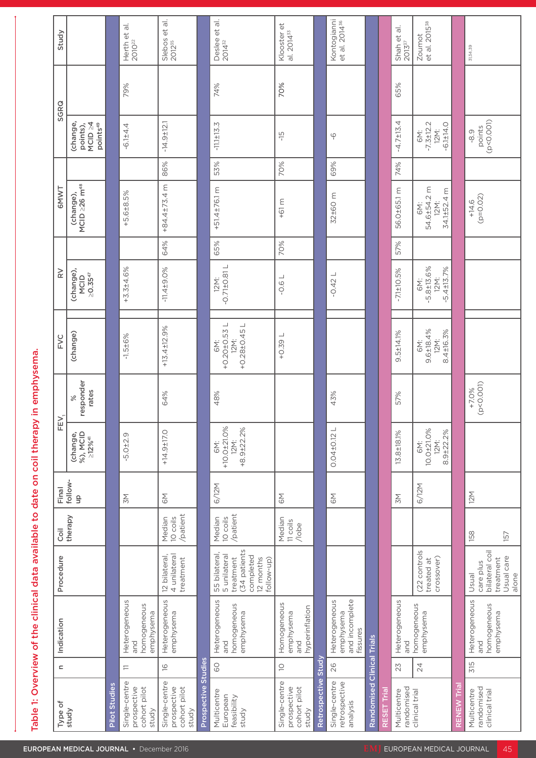|                                                                          | Study                |                                                         |                      | Herth et al.<br>$2010^{22}$                             | $\frac{1}{\sigma}$<br>$\uplus$<br>Slebos<br>2012 <sup>35</sup>            | $\overline{\sigma}$<br>$\uplus$<br>Deslee<br>2014 <sup>32</sup>                                    | Klooster et<br>al. 2014 <sup>33</sup>             | Kontogianni<br>et al. 2014 <sup>36</sup>                    |                            | $\frac{1}{\sigma}$<br>Shah et a $2013^{37}$ | Zoumot<br>et al. 2015 <sup>38</sup>               |                                                                           |
|--------------------------------------------------------------------------|----------------------|---------------------------------------------------------|----------------------|---------------------------------------------------------|---------------------------------------------------------------------------|----------------------------------------------------------------------------------------------------|---------------------------------------------------|-------------------------------------------------------------|----------------------------|---------------------------------------------|---------------------------------------------------|---------------------------------------------------------------------------|
|                                                                          | SGRQ                 |                                                         | 79%                  |                                                         |                                                                           | 74%                                                                                                | 70%                                               |                                                             |                            | 65%                                         |                                                   |                                                                           |
|                                                                          |                      | (change,<br>points),<br>MCID ≥4<br>points <sup>49</sup> | $-6.1 \pm 4.4$       |                                                         | $-14.9 \pm 12.1$                                                          | $\mathsf{M}$<br>$-11.1 \pm 13.$                                                                    | $\frac{C1}{1}$                                    | $\circ$                                                     |                            | $-4.7 \pm 13.4$                             | 6M:<br>-7.3±12.2<br>-6.1±14.0                     | $-8.9$<br>points<br>(p<0.001)                                             |
|                                                                          |                      |                                                         |                      |                                                         | 86%                                                                       | 53%                                                                                                | 70%                                               | 69%                                                         |                            | 74%                                         |                                                   |                                                                           |
|                                                                          | <b>GMWT</b>          | (change),<br>MCID ≥26 m <sup>48</sup>                   | $+5.6 + 8.5%$        |                                                         | ε<br>4<br>84.4±73.                                                        | $\mathsf E$<br>$+51.4 + 76.1$                                                                      | 3<br>$-6$                                         | $\mathsf E$<br>32±60                                        |                            | 56.0±65.1 m                                 | 6M:<br>54.6±54.2 m<br>12M:<br>34.1±52.4 m         | $+14.6$<br>(p=0.02)                                                       |
|                                                                          |                      |                                                         |                      |                                                         | 64%                                                                       | 65%                                                                                                | 70%                                               |                                                             |                            | 57%                                         |                                                   |                                                                           |
|                                                                          | $\geq$               | (change),<br>MCID<br>$\geq 0.35^{47}$                   | $+3.3 \pm 4.6\%$     |                                                         | $-11.4 + 9.0%$                                                            | $12M:$<br>-0.71±0.81 L                                                                             | $-0.6 L$                                          | ┙<br>$-0.42$                                                |                            | 7.1±10.5%                                   | 6M:<br>-5.8±13.6%<br>-5.4±13.7%                   |                                                                           |
|                                                                          | FVC                  | (change)                                                | $-1.5 + 6%$          |                                                         | $+13.4 \pm 12.9%$                                                         | 6M:<br>+0.20 <u>+0.53</u> L<br>12M:<br>+0.28±0.45 L                                                | $\overline{\phantom{a}}$<br>$+0.39$               |                                                             |                            | $9.5 \pm 14.1\%$                            | 6M:<br>9.6±18.4%<br>12M:<br>8.4±16.3%             |                                                                           |
| emphysema.<br>ã.                                                         |                      | %<br>responder<br>rates                                 |                      |                                                         | 64%                                                                       | 48%                                                                                                |                                                   | 43%                                                         |                            | 57%                                         |                                                   | $+7.0\%$<br>(p<0.001)                                                     |
|                                                                          | FEV,                 | (change,<br>%), MCID<br>≥12% <sup>41</sup>              | $-5.0 + 2.9$         |                                                         | $+14.9 \pm 17.0$                                                          | 6M:<br>+10.0±21.0%<br>12M:<br>+8.9±22.2%                                                           |                                                   | $\overline{\phantom{0}}$<br>$0.04 \pm 0.12$                 |                            | $13.8 \pm 18.1\%$                           | 6M:<br>10.0±21.0%<br>12M:<br>8.9±22.2%            |                                                                           |
|                                                                          |                      | Final<br>follow-<br>up                                  | $\geq$               |                                                         | $\mathop{\underline{\lesssim}}$                                           | 6/12M                                                                                              | $\mathop{\underline{\lesssim}}$                   | $\mathop{\underline{\mathop{\sim}}}\nolimits$               |                            | $\geq$                                      | 6/12M                                             | 12M                                                                       |
|                                                                          |                      | Coil<br>therapy                                         |                      |                                                         | Median<br>10 coils<br>/patient                                            | Median<br>10 coils<br>/patient                                                                     | Median<br>11 coils<br>/lobe                       |                                                             |                            |                                             |                                                   | 158<br>157                                                                |
|                                                                          | Procedure            |                                                         |                      |                                                         | 12 bilateral,<br>4 unilateral<br>treatment                                | 55 bilateral,<br>5 unilateral<br>treatment<br>(34 patients<br>completed<br>12 months<br>follow-up) |                                                   |                                                             |                            |                                             | (22 controls<br>treated at<br>crossover)          | Usual<br>care plus<br>bilateral coil<br>bilaternent<br>Usual care<br>Jone |
| Table 1: Overview of the clinical data available to date on coil therapy | Indication           |                                                         |                      | Heterogeneous<br>and<br>eous<br>homogeneou<br>emphysema | SNO<br>Heterogeneo<br>emphysema                                           | Heterogeneous<br>and<br>homogeneous<br>emphysema                                                   | Homogeneous<br>emphysema<br>and<br>hyperinflation | Heterogeneous<br>emphysema<br>and incomplete<br>fissures    |                            |                                             | Heterogeneous<br>and<br>Inomogeneous<br>emphysema | Heterogeneous<br>and<br>homogeneous<br>emphysema                          |
|                                                                          | $\mathord{\text{=}}$ |                                                         | $\leftarrows$        |                                                         | $\frac{1}{2}$<br>$\frac{1}{6}$                                            | GO                                                                                                 | $\overline{\bigcirc}$                             | Study<br>26                                                 |                            | 23                                          | $\overline{24}$                                   | 315                                                                       |
|                                                                          |                      | Type of<br>study                                        | <b>Pilot Studies</b> | Single-centre<br>prospective<br>cohort pilot<br>study   | 5<br>Single-centre<br>prospective<br>cohort pilot<br>study<br>Prospective | Multicentre<br>European<br>feasibility<br>study                                                    | Single-centre<br>prospective<br>cohort pilot      | Retrospective<br>Single-centre<br>retrospective<br>analysis | Randomised Clinical Trials | Multicentre<br>randomised<br>clinical trial |                                                   | Multicentre<br>randomised<br>clinical trial<br>ENEW '                     |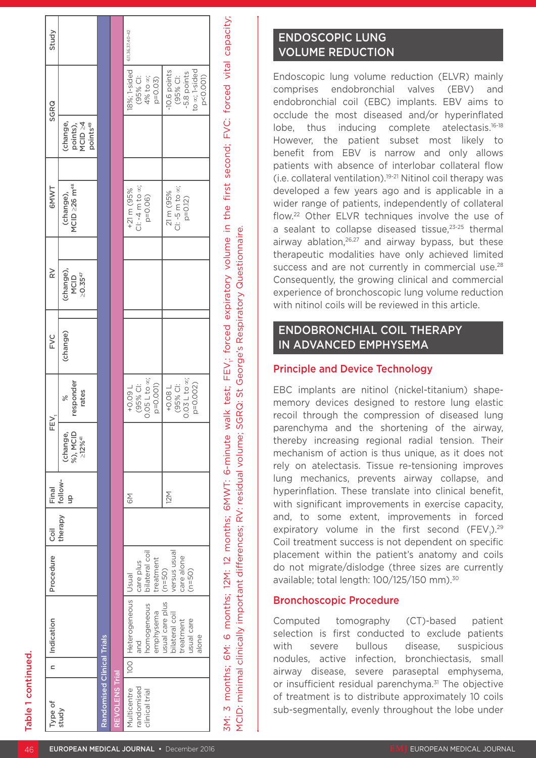| ì | 1                                                                                                                     |
|---|-----------------------------------------------------------------------------------------------------------------------|
| ï | i                                                                                                                     |
|   | ١                                                                                                                     |
| ı |                                                                                                                       |
|   |                                                                                                                       |
| ı | <b>Contract Contract Contract Contract Contract Contract Contract Contract Contract Contract Contract Contract Co</b> |
| ı | 1                                                                                                                     |
| ı | ١                                                                                                                     |
| ı | <b>Service Service</b>                                                                                                |
| п | ۱                                                                                                                     |
|   |                                                                                                                       |
| l | ı                                                                                                                     |
| ı | г                                                                                                                     |
|   |                                                                                                                       |

| Type of                                           | Indication<br>$\overline{\phantom{0}}$                                                                                         | Procedure                                                                                      | <b>Coil</b> | Final         | FEV.                                             |                                                                                                                           | FYC<br>E | $\geq$                                         | 6MWT                                                                                                              | SGRQ                                                                                                                     | Study            |
|---------------------------------------------------|--------------------------------------------------------------------------------------------------------------------------------|------------------------------------------------------------------------------------------------|-------------|---------------|--------------------------------------------------|---------------------------------------------------------------------------------------------------------------------------|----------|------------------------------------------------|-------------------------------------------------------------------------------------------------------------------|--------------------------------------------------------------------------------------------------------------------------|------------------|
| study                                             |                                                                                                                                |                                                                                                | therapy     | follow-<br>qn | %), MCID<br>(change,<br>$\geq$ 12% <sup>41</sup> | responder<br>rates<br>$\geqslant$                                                                                         | (change) | (change),<br>$\geq$ 0.35 <sup>47</sup><br>MCID | MCID ≥26 m <sup>48</sup><br>(change),                                                                             | (change,<br>points),<br>MCID ≥4<br>points <sup>49</sup>                                                                  |                  |
| andomised Clinical Trials                         |                                                                                                                                |                                                                                                |             |               |                                                  |                                                                                                                           |          |                                                |                                                                                                                   |                                                                                                                          |                  |
| <b>REVOLENS Trial</b>                             |                                                                                                                                |                                                                                                |             |               |                                                  |                                                                                                                           |          |                                                |                                                                                                                   |                                                                                                                          |                  |
| andomised<br><b>Iulticentre</b><br>clinical trial | 100   Heterogeneous   Usual<br>usual care plus<br>homogeneous<br>emphysema<br>bilateral coil<br>treatment<br>usual care<br>and | bilateral coil<br>versus usual<br>care alone<br>treatment<br>care plus<br>$(n=50)$<br>$(n=50)$ |             | 12M<br>6M     |                                                  | $0.05 L$ to $\infty$ ;<br>$0.03 L$ to $\infty$ ;<br>NOOD-N<br>(95% CI:<br>+0.09 L<br>(95% Cl:<br>$p = 0.001$<br>$+0.08 L$ |          |                                                | CI: $-4$ m to $\infty$ ;<br>$Cl: -5 \text{ m to } \infty;$<br>+21 m (95%<br>21 m (95%<br>$p = 0.06$<br>$p = 0.12$ | 8%; 1-sided<br><b>ACTION: 1</b><br>-10.6 points<br>-5.8 points<br>(95% CI:<br>(95% CI:<br>4% to $\infty$ ;<br>$p = 0.03$ | 6,11,36,37,40-42 |

3M: 3 months; 6M: 6 months; 12M: 12 months; 6MWT: 6-minute walk test; FEV1: forced expiratory volume in the first second; FVC: forced vital capacity; SM: 3 months; 6M: 6 months; 12M: 12 months; 6MWT: 6-minute walk test; FEV; forced expiratory volume in the first second; FVC: forced vital capacity; YCID: minimal clinically important differences; RV: residual volume; SGRQ: St George's Respiratory Questionnaire. MCID: minimal clinically important differences; RV: residual volume; SGRQ: St George's Respiratory Questionnaire.

p=0.002)

to p<0.001) ∞; 1-sided

alone

# ENDOSCOPIC LUNG VOLUME REDUCTION

Endoscopic lung volume reduction (ELVR) mainly comprises endobronchial valves (EBV) and endobronchial coil (EBC) implants. EBV aims to occlude the most diseased and/or hyperinflated lobe, thus inducing complete atelectasis.16-18 However, the patient subset most likely to benefit from EBV is narrow and only allows patients with absence of interlobar collateral flow (i.e. collateral ventilation).19-21 Nitinol coil therapy was developed a few years ago and is applicable in a wider range of patients, independently of collateral flow.22 Other ELVR techniques involve the use of a sealant to collapse diseased tissue.<sup>23-25</sup> thermal airway ablation.<sup>26,27</sup> and airway bypass, but these therapeutic modalities have only achieved limited success and are not currently in commercial use.<sup>28</sup> Consequently, the growing clinical and commercial experience of bronchoscopic lung volume reduction with nitinol coils will be reviewed in this article.

# ENDOBRONCHIAL COIL THERAPY IN ADVANCED EMPHYSEMA

## Principle and Device Technology

EBC implants are nitinol (nickel-titanium) shapememory devices designed to restore lung elastic recoil through the compression of diseased lung parenchyma and the shortening of the airway, thereby increasing regional radial tension. Their mechanism of action is thus unique, as it does not rely on atelectasis. Tissue re-tensioning improves lung mechanics, prevents airway collapse, and hyperinflation. These translate into clinical benefit, with significant improvements in exercise capacity, and, to some extent, improvements in forced expiratory volume in the first second  $(FEV<sub>1</sub>)<sup>29</sup>$ Coil treatment success is not dependent on specific placement within the patient's anatomy and coils do not migrate/dislodge (three sizes are currently available; total length: 100/125/150 mm).30

## Bronchoscopic Procedure

Computed tomography (CT)-based patient selection is first conducted to exclude patients with severe bullous disease, suspicious nodules, active infection, bronchiectasis, small airway disease, severe paraseptal emphysema, or insufficient residual parenchyma.<sup>31</sup> The objective of treatment is to distribute approximately 10 coils sub-segmentally, evenly throughout the lobe under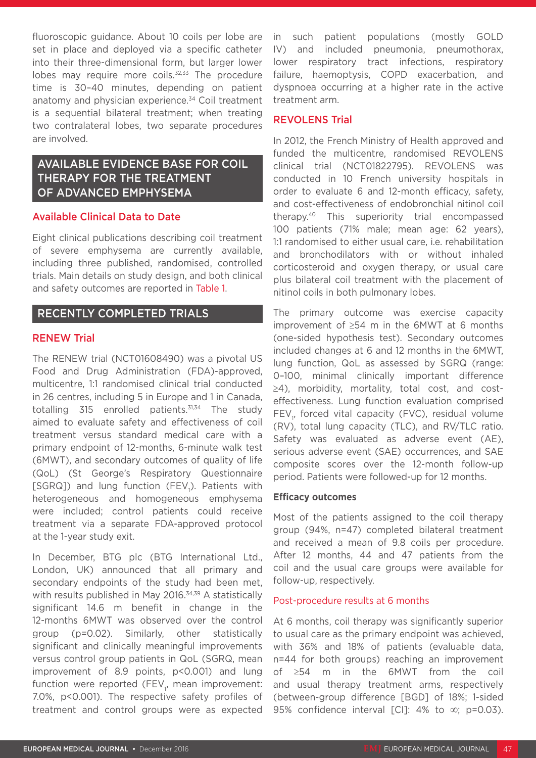fluoroscopic guidance. About 10 coils per lobe are set in place and deployed via a specific catheter into their three-dimensional form, but larger lower lobes may require more coils. $32,33$  The procedure time is 30–40 minutes, depending on patient anatomy and physician experience.<sup>34</sup> Coil treatment is a sequential bilateral treatment; when treating two contralateral lobes, two separate procedures are involved.

# AVAILABLE EVIDENCE BASE FOR COIL THERAPY FOR THE TREATMENT OF ADVANCED EMPHYSEMA

#### Available Clinical Data to Date

Eight clinical publications describing coil treatment of severe emphysema are currently available, including three published, randomised, controlled trials. Main details on study design, and both clinical and safety outcomes are reported in Table 1.

### RECENTLY COMPLETED TRIALS

#### RENEW Trial

The RENEW trial (NCT01608490) was a pivotal US Food and Drug Administration (FDA)-approved, multicentre, 1:1 randomised clinical trial conducted in 26 centres, including 5 in Europe and 1 in Canada, totalling  $315$  enrolled patients.<sup>31,34</sup> The study aimed to evaluate safety and effectiveness of coil treatment versus standard medical care with a primary endpoint of 12-months, 6-minute walk test (6MWT), and secondary outcomes of quality of life (QoL) (St George's Respiratory Questionnaire [SGRQ]) and lung function (FEV<sub>1</sub>). Patients with heterogeneous and homogeneous emphysema were included; control patients could receive treatment via a separate FDA-approved protocol at the 1-year study exit.

In December, BTG plc (BTG International Ltd., London, UK) announced that all primary and secondary endpoints of the study had been met, with results published in May 2016.<sup>34,39</sup> A statistically significant 14.6 m benefit in change in the 12-months 6MWT was observed over the control group (p=0.02). Similarly, other statistically significant and clinically meaningful improvements versus control group patients in QoL (SGRQ, mean improvement of 8.9 points, p<0.001) and lung function were reported (FEV<sub>1</sub>, mean improvement: 7.0%, p<0.001). The respective safety profiles of treatment and control groups were as expected in such patient populations (mostly GOLD IV) and included pneumonia, pneumothorax, lower respiratory tract infections, respiratory failure, haemoptysis, COPD exacerbation, and dyspnoea occurring at a higher rate in the active treatment arm.

#### REVOLENS Trial

In 2012, the French Ministry of Health approved and funded the multicentre, randomised REVOLENS clinical trial (NCT01822795). REVOLENS was conducted in 10 French university hospitals in order to evaluate 6 and 12-month efficacy, safety, and cost-effectiveness of endobronchial nitinol coil therapy.40 This superiority trial encompassed 100 patients (71% male; mean age: 62 years), 1:1 randomised to either usual care, i.e. rehabilitation and bronchodilators with or without inhaled corticosteroid and oxygen therapy, or usual care plus bilateral coil treatment with the placement of nitinol coils in both pulmonary lobes.

The primary outcome was exercise capacity improvement of ≥54 m in the 6MWT at 6 months (one-sided hypothesis test). Secondary outcomes included changes at 6 and 12 months in the 6MWT, lung function, QoL as assessed by SGRQ (range: 0–100, minimal clinically important difference ≥4), morbidity, mortality, total cost, and costeffectiveness. Lung function evaluation comprised  $\mathsf{FEV}_1$ , forced vital capacity (FVC), residual volume (RV), total lung capacity (TLC), and RV/TLC ratio. Safety was evaluated as adverse event (AE), serious adverse event (SAE) occurrences, and SAE composite scores over the 12-month follow-up period. Patients were followed-up for 12 months.

#### **Efficacy outcomes**

Most of the patients assigned to the coil therapy group (94%, n=47) completed bilateral treatment and received a mean of 9.8 coils per procedure. After 12 months, 44 and 47 patients from the coil and the usual care groups were available for follow-up, respectively.

#### Post-procedure results at 6 months

At 6 months, coil therapy was significantly superior to usual care as the primary endpoint was achieved, with 36% and 18% of patients (evaluable data, n=44 for both groups) reaching an improvement of ≥54 m in the 6MWT from the coil and usual therapy treatment arms, respectively (between-group difference [BGD] of 18%; 1-sided 95% confidence interval  $|Cl|$ : 4% to  $\infty$ ; p=0.03).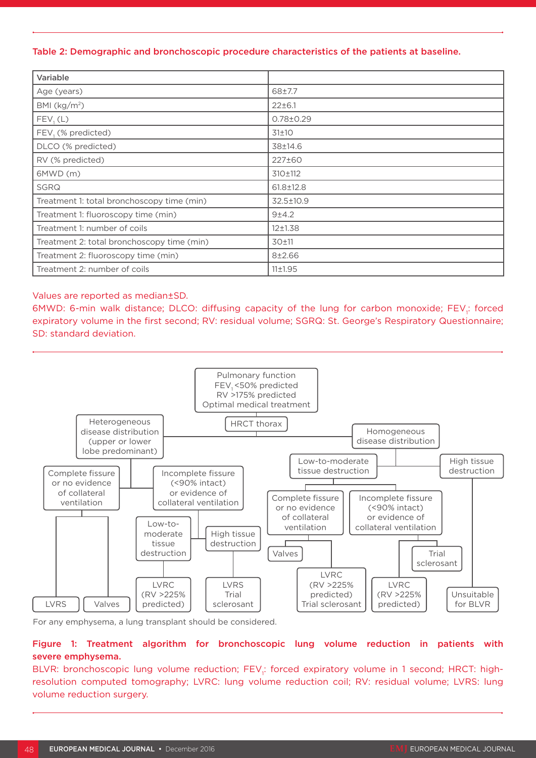#### Table 2: Demographic and bronchoscopic procedure characteristics of the patients at baseline.

| Variable                                   |                 |
|--------------------------------------------|-----------------|
| Age (years)                                | 68±7.7          |
| BMI $(kg/m2)$                              | $22 \pm 6.1$    |
| FEV, (L)                                   | $0.78 \pm 0.29$ |
| FEV, (% predicted)                         | 31±10           |
| DLCO (% predicted)                         | 38±14.6         |
| RV (% predicted)                           | 227±60          |
| 6MWD(m)                                    | 310±112         |
| <b>SGRQ</b>                                | $61.8 \pm 12.8$ |
| Treatment 1: total bronchoscopy time (min) | 32.5±10.9       |
| Treatment 1: fluoroscopy time (min)        | $9+4.2$         |
| Treatment 1: number of coils               | $12 \pm 1.38$   |
| Treatment 2: total bronchoscopy time (min) | 30±11           |
| Treatment 2: fluoroscopy time (min)        | $8 + 2.66$      |
| Treatment 2: number of coils               | 11±1.95         |

#### Values are reported as median±SD.

6MWD: 6-min walk distance; DLCO: diffusing capacity of the lung for carbon monoxide;  $\text{FEV}_1$ : forced expiratory volume in the first second; RV: residual volume; SGRQ: St. George's Respiratory Questionnaire; SD: standard deviation.



For any emphysema, a lung transplant should be considered.

### Figure 1: Treatment algorithm for bronchoscopic lung volume reduction in patients with severe emphysema.

BLVR: bronchoscopic lung volume reduction; FEV<sub>1</sub>: forced expiratory volume in 1 second; HRCT: highresolution computed tomography; LVRC: lung volume reduction coil; RV: residual volume; LVRS: lung volume reduction surgery.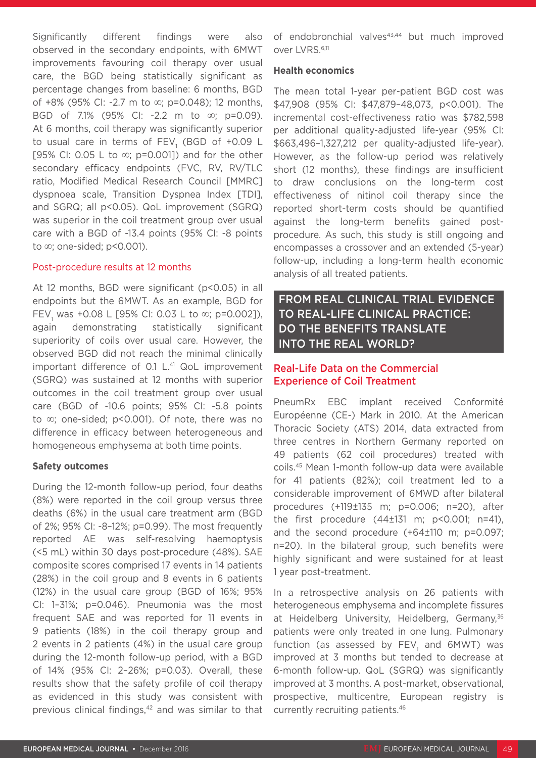Significantly different findings were also observed in the secondary endpoints, with 6MWT improvements favouring coil therapy over usual care, the BGD being statistically significant as percentage changes from baseline: 6 months, BGD of +8% (95% CI: -2.7 m to ∞; p=0.048); 12 months, BGD of 7.1% (95% CI: -2.2 m to ∞; p=0.09). At 6 months, coil therapy was significantly superior to usual care in terms of FEV<sub>1</sub> (BGD of +0.09 L [95% CI: 0.05 L to  $\infty$ ; p=0.001]) and for the other secondary efficacy endpoints (FVC, RV, RV/TLC ratio, Modified Medical Research Council [MMRC] dyspnoea scale, Transition Dyspnea Index [TDI], and SGRQ; all p<0.05). QoL improvement (SGRQ) was superior in the coil treatment group over usual care with a BGD of -13.4 points (95% CI: -8 points to ∞; one-sided; p<0.001).

#### Post-procedure results at 12 months

At 12 months, BGD were significant (p<0.05) in all endpoints but the 6MWT. As an example, BGD for FEV<sub>1</sub> was +0.08 L [95% CI: 0.03 L to  $\infty$ ; p=0.002]), again demonstrating statistically significant superiority of coils over usual care. However, the observed BGD did not reach the minimal clinically important difference of 0.1 L.<sup>41</sup> QoL improvement (SGRQ) was sustained at 12 months with superior outcomes in the coil treatment group over usual care (BGD of -10.6 points; 95% CI: -5.8 points to ∞; one-sided; p<0.001). Of note, there was no difference in efficacy between heterogeneous and homogeneous emphysema at both time points.

#### **Safety outcomes**

During the 12-month follow-up period, four deaths (8%) were reported in the coil group versus three deaths (6%) in the usual care treatment arm (BGD of 2%; 95% CI: -8–12%; p=0.99). The most frequently reported AE was self-resolving haemoptysis (<5 mL) within 30 days post-procedure (48%). SAE composite scores comprised 17 events in 14 patients (28%) in the coil group and 8 events in 6 patients (12%) in the usual care group (BGD of 16%; 95% CI: 1–31%; p=0.046). Pneumonia was the most frequent SAE and was reported for 11 events in 9 patients (18%) in the coil therapy group and 2 events in 2 patients (4%) in the usual care group during the 12-month follow-up period, with a BGD of 14% (95% CI: 2–26%; p=0.03). Overall, these results show that the safety profile of coil therapy as evidenced in this study was consistent with previous clinical findings,<sup>42</sup> and was similar to that of endobronchial valves<sup>43,44</sup> but much improved over LVRS.6,11

#### **Health economics**

The mean total 1-year per-patient BGD cost was \$47,908 (95% CI: \$47,879–48,073, p<0.001). The incremental cost-effectiveness ratio was \$782,598 per additional quality-adjusted life-year (95% CI: \$663,496–1,327,212 per quality-adjusted life-year). However, as the follow-up period was relatively short (12 months), these findings are insufficient to draw conclusions on the long-term cost effectiveness of nitinol coil therapy since the reported short-term costs should be quantified against the long-term benefits gained postprocedure. As such, this study is still ongoing and encompasses a crossover and an extended (5-year) follow-up, including a long-term health economic analysis of all treated patients.

## FROM REAL CLINICAL TRIAL EVIDENCE TO REAL-LIFE CLINICAL PRACTICE: DO THE BENEFITS TRANSLATE INTO THE REAL WORLD?

### Real-Life Data on the Commercial Experience of Coil Treatment

PneumRx EBC implant received Conformité Européenne (CE-) Mark in 2010. At the American Thoracic Society (ATS) 2014, data extracted from three centres in Northern Germany reported on 49 patients (62 coil procedures) treated with coils.45 Mean 1-month follow-up data were available for 41 patients (82%); coil treatment led to a considerable improvement of 6MWD after bilateral procedures (+119±135 m; p=0.006; n=20), after the first procedure  $(44\pm131 \text{ m}; \text{ p} < 0.001; \text{ n} = 41)$ , and the second procedure (+64±110 m; p=0.097; n=20). In the bilateral group, such benefits were highly significant and were sustained for at least 1 year post-treatment.

In a retrospective analysis on 26 patients with heterogeneous emphysema and incomplete fissures at Heidelberg University, Heidelberg, Germany, 36 patients were only treated in one lung. Pulmonary function (as assessed by  $\mathsf{FEV}_1$  and  $\mathsf{6MWT})$  was improved at 3 months but tended to decrease at 6-month follow-up. QoL (SGRQ) was significantly improved at 3 months. A post-market, observational, prospective, multicentre, European registry is currently recruiting patients.46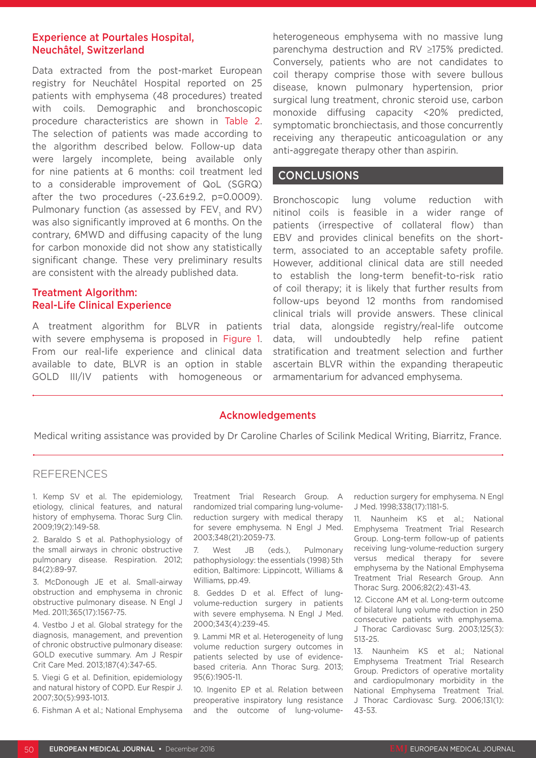### Experience at Pourtales Hospital, Neuchâtel, Switzerland

Data extracted from the post-market European registry for Neuchâtel Hospital reported on 25 patients with emphysema (48 procedures) treated with coils. Demographic and bronchoscopic procedure characteristics are shown in Table 2. The selection of patients was made according to the algorithm described below. Follow-up data were largely incomplete, being available only for nine patients at 6 months: coil treatment led to a considerable improvement of QoL (SGRQ) after the two procedures (-23.6±9.2, p=0.0009). Pulmonary function (as assessed by  $\mathsf{FEV}_{\mathfrak{1}}$  and  $\mathsf{RV}$ ) was also significantly improved at 6 months. On the contrary, 6MWD and diffusing capacity of the lung for carbon monoxide did not show any statistically significant change. These very preliminary results are consistent with the already published data.

### Treatment Algorithm: Real-Life Clinical Experience

A treatment algorithm for BLVR in patients with severe emphysema is proposed in Figure 1. From our real-life experience and clinical data available to date, BLVR is an option in stable GOLD III/IV patients with homogeneous or

heterogeneous emphysema with no massive lung parenchyma destruction and RV ≥175% predicted. Conversely, patients who are not candidates to coil therapy comprise those with severe bullous disease, known pulmonary hypertension, prior surgical lung treatment, chronic steroid use, carbon monoxide diffusing capacity <20% predicted, symptomatic bronchiectasis, and those concurrently receiving any therapeutic anticoagulation or any anti-aggregate therapy other than aspirin.

### CONCLUSIONS

Bronchoscopic lung volume reduction with nitinol coils is feasible in a wider range of patients (irrespective of collateral flow) than EBV and provides clinical benefits on the shortterm, associated to an acceptable safety profile. However, additional clinical data are still needed to establish the long-term benefit-to-risk ratio of coil therapy; it is likely that further results from follow-ups beyond 12 months from randomised clinical trials will provide answers. These clinical trial data, alongside registry/real-life outcome data, will undoubtedly help refine patient stratification and treatment selection and further ascertain BLVR within the expanding therapeutic armamentarium for advanced emphysema.

#### Acknowledgements

Medical writing assistance was provided by Dr Caroline Charles of Scilink Medical Writing, Biarritz, France.

#### REFERENCES

1. Kemp SV et al. The epidemiology, etiology, clinical features, and natural history of emphysema. Thorac Surg Clin. 2009;19(2):149-58.

2. Baraldo S et al. Pathophysiology of the small airways in chronic obstructive pulmonary disease. Respiration. 2012; 84(2):89-97.

3. McDonough JE et al. Small-airway obstruction and emphysema in chronic obstructive pulmonary disease. N Engl J Med. 2011;365(17):1567-75.

4. Vestbo J et al. Global strategy for the diagnosis, management, and prevention of chronic obstructive pulmonary disease: GOLD executive summary. Am J Respir Crit Care Med. 2013;187(4):347-65.

5. Viegi G et al. Definition, epidemiology and natural history of COPD. Eur Respir J. 2007;30(5):993-1013.

6. Fishman A et al.; National Emphysema

Treatment Trial Research Group. A randomized trial comparing lung-volumereduction surgery with medical therapy for severe emphysema. N Engl J Med. 2003;348(21):2059-73.

7. West JB (eds.), Pulmonary pathophysiology: the essentials (1998) 5th edition, Baltimore: Lippincott, Williams & Williams, pp.49.

8. Geddes D et al. Effect of lungvolume-reduction surgery in patients with severe emphysema. N Engl J Med. 2000;343(4):239-45.

9. Lammi MR et al. Heterogeneity of lung volume reduction surgery outcomes in patients selected by use of evidencebased criteria. Ann Thorac Surg. 2013; 95(6):1905-11.

10. Ingenito EP et al. Relation between preoperative inspiratory lung resistance and the outcome of lung-volumereduction surgery for emphysema. N Engl J Med. 1998;338(17):1181-5.

11. Naunheim KS et al.; National Emphysema Treatment Trial Research Group. Long-term follow-up of patients receiving lung-volume-reduction surgery versus medical therapy for severe emphysema by the National Emphysema Treatment Trial Research Group. Ann Thorac Surg. 2006;82(2):431-43.

12. Ciccone AM et al. Long-term outcome of bilateral lung volume reduction in 250 consecutive patients with emphysema. J Thorac Cardiovasc Surg. 2003;125(3): 513-25.

13. Naunheim KS et al.; National Emphysema Treatment Trial Research Group. Predictors of operative mortality and cardiopulmonary morbidity in the National Emphysema Treatment Trial. J Thorac Cardiovasc Surg. 2006;131(1): 43-53.